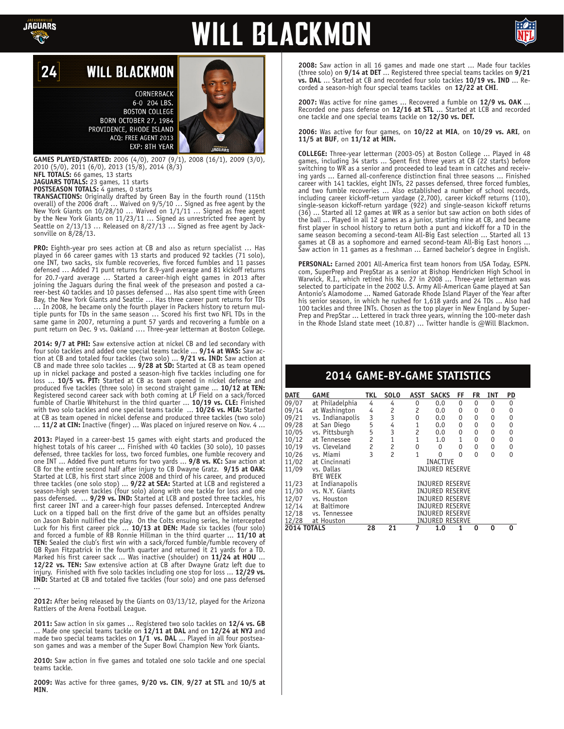

## **WILL BLACKMON**



#### 24 **WILL BLACKMON**

CORNERBACK 6-0 204 LBS. **BOSTON COLLEGE** BORN OCTOBER 27, 1984 PROVIDENCE, RHODE ISLAND ACQ: FREE AGENT 2013 EXP: 8TH YEAR

**GAMES PLAYED/STARTED:** 2006 (4/0), 2007 (9/1), 2008 (16/1), 2009 (3/0), 2010 (5/0), 2011 (6/0), 2013 (15/8), 2014 (8/3) **NFL TOTALS:** 66 games, 13 starts

**JAGUARS TOTALS:** 23 games, 11 starts

**POSTSEASON TOTALS:** 4 games, 0 starts

**TRANSACTIONS:** Originally drafted by Green Bay in the fourth round (115th overall) of the 2006 draft … Waived on 9/5/10 … Signed as free agent by the New York Giants on 10/28/10 … Waived on 1/1/11 … Signed as free agent by the New York Giants on 11/23/11 … Signed as unrestricted free agent by Seattle on 2/13/13 ... Released on 8/27/13 ... Signed as free agent by Jacksonville on 8/28/13.

**PRO:** Eighth-year pro sees action at CB and also as return specialist … Has played in 66 career games with 13 starts and produced 92 tackles (71 solo), one INT, two sacks, six fumble recoveries, five forced fumbles and 11 passes defensed … Added 71 punt returns for 8.9-yard average and 81 kickoff returns for 20.7-yard average … Started a career-high eight games in 2013 after joining the Jaguars during the final week of the preseason and posted a career-best 40 tackles and 10 passes defensed ... Has also spent time with Green Bay, the New York Giants and Seattle … Has three career punt returns for TDs … In 2008, he became only the fourth player in Packers history to return multiple punts for TDs in the same season … Scored his first two NFL TDs in the same game in 2007, returning a punt 57 yards and recovering a fumble on a punt return on Dec. 9 vs. Oakland …. Three-year letterman at Boston College.

**2014: 9/7 at PHI:** Saw extensive action at nickel CB and led secondary with four solo tackles and added one special teams tackle ... **9/14 at WAS:** Saw action at CB and totaled four tackles (two solo) ... **9/21 vs. IND:** Saw action at CB and made three solo tackles ... **9/28 at SD:** Started at CB as team opened up in nickel package and posted a season-high five tackles including one for loss ... **10/5 vs. PIT:** Started at CB as team opened in nickel defense and produced five tackles (three solo) in second straight game ... **10/12 at TEN:** Registered second career sack with both coming at LP Field on a sack/forced fumble of Charlie Whitehurst in the third quarter ... **10/19 vs. CLE:** Finished with two solo tackles and one special teams tackle ... **10/26 vs. MIA:** Started at CB as team opened in nickel defense and produced three tackles (two solo) ... **11/2 at CIN:** Inactive (finger) ... Was placed on injured reserve on Nov. 4 ...

**2013:** Played in a career-best 15 games with eight starts and produced the highest totals of his career ... Finished with 40 tackles (30 solo), 10 passes defensed, three tackles for loss, two forced fumbles, one fumble recovery and one INT ... Added five punt returns for two yards ... **9/8 vs. KC:** Saw action at CB for the entire second half after injury to CB Dwayne Gratz. **9/15 at OAK:** Started at LCB, his first start since 2008 and third of his career, and produced three tackles (one solo stop) ... **9/22 at SEA:** Started at LCB and registered a season-high seven tackles (four solo) along with one tackle for loss and one pass defensed. ... **9/29 vs. IND:** Started at LCB and posted three tackles, his first career INT and a career-high four passes defensed. Intercepted Andrew Luck on a tipped ball on the first drive of the game but an offsides penalty on Jason Babin nullified the play. On the Colts ensuing series, he intercepted Luck for his first career pick ... **10/13 at DEN:** Made six tackles (four solo) and forced a fumble of RB Ronnie Hillman in the third quarter ... **11/10 at TEN:** Sealed the club's first win with a sack/forced fumble/fumble recovery of QB Ryan Fitzpatrick in the fourth quarter and returned it 21 yards for a TD. Marked his first career sack ... Was inactive (shoulder) on **11/24 at HOU** ... **12/22 vs. TEN:** Saw extensive action at CB after Dwayne Gratz left due to injury. Finished with five solo tackles including one stop for loss ... **12/29 vs. IND:** Started at CB and totaled five tackles (four solo) and one pass defensed ...

**2012:** After being released by the Giants on 03/13/12, played for the Arizona Rattlers of the Arena Football League.

**2011:** Saw action in six games ... Registered two solo tackles on **12/4 vs. GB** ... Made one special teams tackle on **12/11 at DAL** and on **12/24 at NYJ** and made two special teams tackles on **1/1 vs. DAL** ... Played in all four postseason games and was a member of the Super Bowl Champion New York Giants.

**2010:** Saw action in five games and totaled one solo tackle and one special teams tackle.

**2009:** Was active for three games, **9/20 vs. CIN**, **9/27 at STL** and **10/5 at MIN**.

**2008:** Saw action in all 16 games and made one start ... Made four tackles (three solo) on **9/14 at DET** ... Registered three special teams tackles on **9/21 vs. DAL** ... Started at CB and recorded four solo tackles **10/19 vs. IND** ... Recorded a season-high four special teams tackles on **12/22 at CHI**.

**2007:** Was active for nine games ... Recovered a fumble on **12/9 vs. OAK** ... Recorded one pass defense on **12/16 at STL** ... Started at LCB and recorded one tackle and one special teams tackle on **12/30 vs. DET.**

**2006:** Was active for four games, on **10/22 at MIA**, on **10/29 vs. ARI**, on **11/5 at BUF**, on **11/12 at MIN.**

**COLLEGE:** Three-year letterman (2003-05) at Boston College ... Played in 48 games, including 34 starts ... Spent first three years at CB (22 starts) before switching to WR as a senior and proceeded to lead team in catches and receiving yards ... Earned all-conference distinction final three seasons ... Finished career with 141 tackles, eight INTs, 22 passes defensed, three forced fumbles, and two fumble recoveries ... Also established a number of school records, including career kickoff-return yardage (2,700), career kickoff returns (110), single-season kickoff-return yardage (922) and single-season kickoff returns (36) ... Started all 12 games at WR as a senior but saw action on both sides of the ball ... Played in all 12 games as a junior, starting nine at CB, and became first player in school history to return both a punt and kickoff for a TD in the same season becoming a second-team All-Big East selection ... Started all 13 games at CB as a sophomore and earned second-team All-Big East honors ... Saw action in 11 games as a freshman ... Earned bachelor's degree in English.

**PERSONAL:** Earned 2001 All-America first team honors from USA Today, ESPN. com, SuperPrep and PrepStar as a senior at Bishop Hendricken High School in Warwick, R.I., which retired his No. 27 in 2008 ... Three-year letterman was selected to participate in the 2002 U.S. Army All-American Game played at San Antonio's Alamodome ... Named Gatorade Rhode Island Player of the Year after his senior season, in which he rushed for 1,618 yards and 24 TDs ... Also had 100 tackles and three INTs. Chosen as the top player in New England by Super-Prep and PrepStar ... Lettered in track three years, winning the 100-meter dash in the Rhode Island state meet (10.87) ... Twitter handle is @Will Blackmon.

### **2014 GAME-BY-GAME STATISTICS**

| DATE               | GAME                  | TKL                                        | <b>SOLO</b>    | <b>ASST</b>    | <b>SACKS</b>           | FF           | <b>FR</b> | <b>INT</b>   | PD |
|--------------------|-----------------------|--------------------------------------------|----------------|----------------|------------------------|--------------|-----------|--------------|----|
| 09/07              | at Philadelphia       | 4                                          | 4              | 0              | 0.0                    | 0            | 0         | 0            | 0  |
| 09/14              | at Washington         |                                            |                | 2              | 0.0                    | 0            | 0         | 0            | 0  |
| 09/21              | vs. Indianapolis      | $\begin{array}{c} 4 \\ 3 \\ 5 \end{array}$ | $\frac{2}{3}$  | 0              | 0.0                    | $\pmb{0}$    | 0         | 0            | 0  |
| 09/28              | at San Diego          |                                            | $\overline{4}$ | $\mathbf{1}$   | 0.0                    | 0            | 0         | 0            | 0  |
|                    | 10/05 vs. Pittsburgh  | 5                                          | 3              | $\overline{c}$ | 0.0                    | 0            | 0         | 0            | 0  |
|                    | 10/12 at Tennessee    | $\overline{c}$                             | $\mathbf{1}$   | $\mathbf{1}$   | 1.0                    | $\mathbf{1}$ | 0         | 0            | 0  |
| 10/19              | vs. Cleveland         |                                            | $\overline{c}$ | 0              | 0                      | 0            | 0         | 0            | 0  |
|                    | 10/26 vs. Miami       | $\frac{2}{3}$                              | $\overline{c}$ | $\mathbf{1}$   | 0                      | 0            | 0         | $\mathbf{0}$ | 0  |
|                    | 11/02 at Cincinnati   |                                            |                |                | <b>INACTIVE</b>        |              |           |              |    |
| 11/09              | vs. Dallas            |                                            |                |                | <b>INJURED RESERVE</b> |              |           |              |    |
|                    | <b>BYE WEEK</b>       |                                            |                |                |                        |              |           |              |    |
|                    | 11/23 at Indianapolis |                                            |                |                | <b>INJURED RESERVE</b> |              |           |              |    |
| 11/30              | vs. N.Y. Giants       |                                            |                |                | <b>INJURED RESERVE</b> |              |           |              |    |
|                    | 12/07 vs. Houston     |                                            |                |                | <b>INJURED RESERVE</b> |              |           |              |    |
|                    | 12/14 at Baltimore    |                                            |                |                | <b>INJURED RESERVE</b> |              |           |              |    |
|                    | 12/18 vs. Tennessee   | <b>INJURED RESERVE</b>                     |                |                |                        |              |           |              |    |
|                    | at Houston            |                                            |                |                | <b>INJURED RESERVE</b> |              |           |              |    |
| <b>2014 TOTALS</b> |                       | 28                                         | 21             | 7              | 1.0                    |              | 0         | 0            | O  |
|                    |                       |                                            |                |                |                        |              |           |              |    |